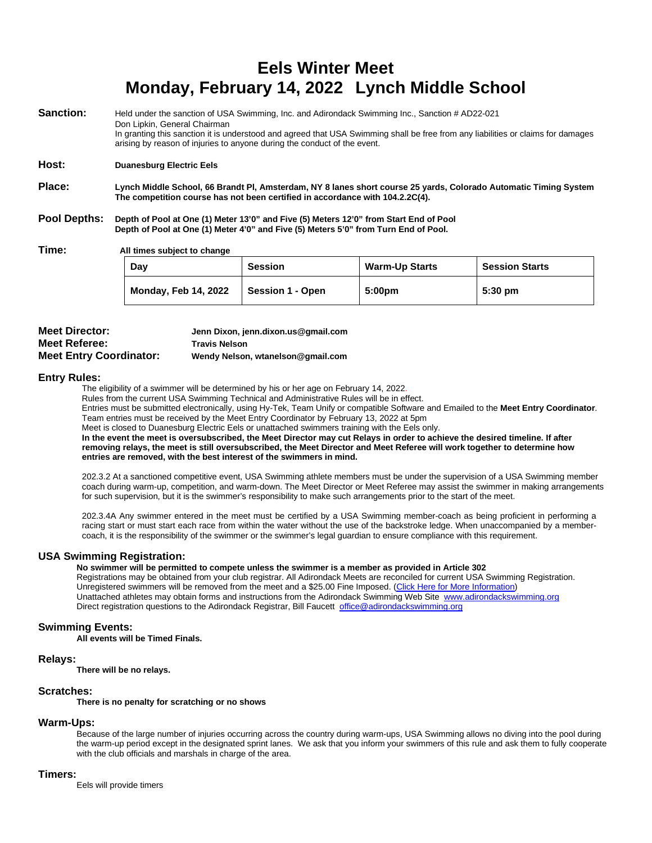# **Eels Winter Meet Monday, February 14, 2022 Lynch Middle School**

| Sanction:    | Held under the sanction of USA Swimming, Inc. and Adirondack Swimming Inc., Sanction # AD22-021<br>Don Lipkin, General Chairman                                                                                                                                                                                                                                                   |                |                       |                       |  |  |  |
|--------------|-----------------------------------------------------------------------------------------------------------------------------------------------------------------------------------------------------------------------------------------------------------------------------------------------------------------------------------------------------------------------------------|----------------|-----------------------|-----------------------|--|--|--|
|              | In granting this sanction it is understood and agreed that USA Swimming shall be free from any liabilities or claims for damages<br>arising by reason of injuries to anyone during the conduct of the event.                                                                                                                                                                      |                |                       |                       |  |  |  |
| Host:        | <b>Duanesburg Electric Eels</b>                                                                                                                                                                                                                                                                                                                                                   |                |                       |                       |  |  |  |
| Place:       | Lynch Middle School, 66 Brandt Pl, Amsterdam, NY 8 lanes short course 25 yards, Colorado Automatic Timing System<br>The competition course has not been certified in accordance with 104.2.2C(4).<br>Depth of Pool at One (1) Meter 13'0" and Five (5) Meters 12'0" from Start End of Pool<br>Depth of Pool at One (1) Meter 4'0" and Five (5) Meters 5'0" from Turn End of Pool. |                |                       |                       |  |  |  |
| Pool Depths: |                                                                                                                                                                                                                                                                                                                                                                                   |                |                       |                       |  |  |  |
| Time:        | All times subject to change                                                                                                                                                                                                                                                                                                                                                       |                |                       |                       |  |  |  |
|              | Day                                                                                                                                                                                                                                                                                                                                                                               | <b>Session</b> | <b>Warm-Up Starts</b> | <b>Session Starts</b> |  |  |  |
|              |                                                                                                                                                                                                                                                                                                                                                                                   |                |                       |                       |  |  |  |

| Dav                         | <b>Session</b>          | warm-up Starts     | <b>Session Starts</b> |
|-----------------------------|-------------------------|--------------------|-----------------------|
| <b>Monday, Feb 14, 2022</b> | <b>Session 1 - Open</b> | 5:00 <sub>pm</sub> | $5:30 \text{ pm}$     |

| <b>Meet Director:</b>          | Jenn Dixon, jenn.dixon.us@gmail.com |
|--------------------------------|-------------------------------------|
| <b>Meet Referee:</b>           | <b>Travis Nelson</b>                |
| <b>Meet Entry Coordinator:</b> | Wendy Nelson, wtanelson@gmail.com   |

#### **Entry Rules:**

The eligibility of a swimmer will be determined by his or her age on February 14, 2022.

Rules from the current USA Swimming Technical and Administrative Rules will be in effect.

Entries must be submitted electronically, using Hy-Tek, Team Unify or compatible Software and Emailed to the **Meet Entry Coordinator**. Team entries must be received by the Meet Entry Coordinator by February 13, 2022 at 5pm

Meet is closed to Duanesburg Electric Eels or unattached swimmers training with the Eels only.

**In the event the meet is oversubscribed, the Meet Director may cut Relays in order to achieve the desired timeline. If after removing relays, the meet is still oversubscribed, the Meet Director and Meet Referee will work together to determine how entries are removed, with the best interest of the swimmers in mind.**

202.3.2 At a sanctioned competitive event, USA Swimming athlete members must be under the supervision of a USA Swimming member coach during warm-up, competition, and warm-down. The Meet Director or Meet Referee may assist the swimmer in making arrangements for such supervision, but it is the swimmer's responsibility to make such arrangements prior to the start of the meet.

202.3.4A Any swimmer entered in the meet must be certified by a USA Swimming member-coach as being proficient in performing a racing start or must start each race from within the water without the use of the backstroke ledge. When unaccompanied by a membercoach, it is the responsibility of the swimmer or the swimmer's legal guardian to ensure compliance with this requirement.

#### **USA Swimming Registration:**

**No swimmer will be permitted to compete unless the swimmer is a member as provided in Article 302** Registrations may be obtained from your club registrar. All Adirondack Meets are reconciled for current USA Swimming Registration. Unregistered swimmers will be removed from the meet and a \$25.00 Fine Imposed. (Click Here for More Information) Unattached athletes may obtain forms and instructions from the Adirondack Swimming Web Site [www.adirondackswimming.org](http://www.adirondackswimming.org/) Direct registration questions to the Adirondack Registrar, Bill Faucett [office@adirondackswimming.org](mailto:office@adirondackswimming.org)

#### **Swimming Events:**

**All events will be Timed Finals.**

#### **Relays:**

**There will be no relays.**

#### **Scratches:**

**There is no penalty for scratching or no shows**

#### **Warm-Ups:**

Because of the large number of injuries occurring across the country during warm-ups, USA Swimming allows no diving into the pool during the warm-up period except in the designated sprint lanes. We ask that you inform your swimmers of this rule and ask them to fully cooperate with the club officials and marshals in charge of the area.

#### **Timers:**

Eels will provide timers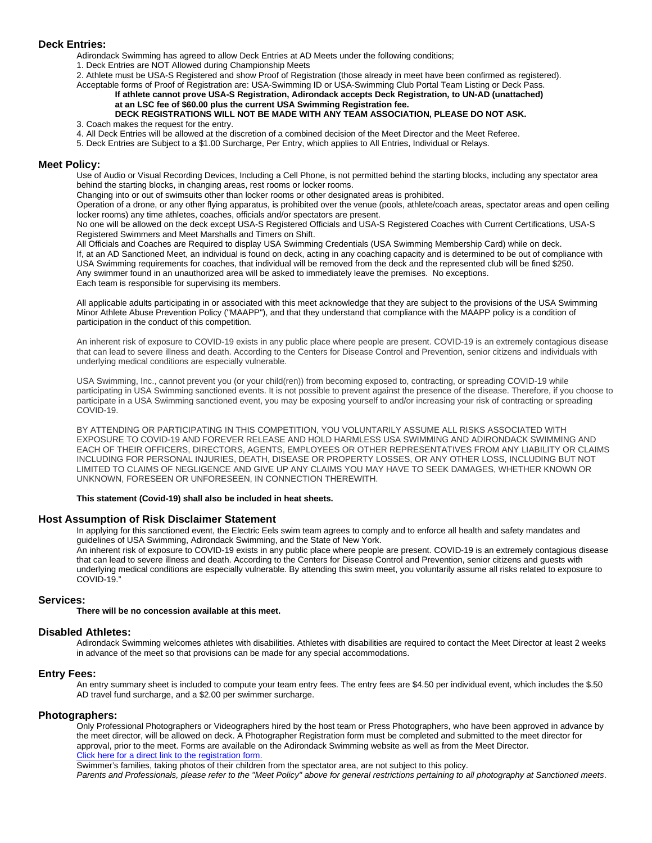#### **Deck Entries:**

Adirondack Swimming has agreed to allow Deck Entries at AD Meets under the following conditions;

1. Deck Entries are NOT Allowed during Championship Meets

2. Athlete must be USA-S Registered and show Proof of Registration (those already in meet have been confirmed as registered). Acceptable forms of Proof of Registration are: USA-Swimming ID or USA-Swimming Club Portal Team Listing or Deck Pass.

#### **If athlete cannot prove USA-S Registration, Adirondack accepts Deck Registration***,* **to UN-AD (unattached) at an LSC fee of \$60.00 plus the current USA Swimming Registration fee.**

#### **DECK REGISTRATIONS WILL NOT BE MADE WITH ANY TEAM ASSOCIATION, PLEASE DO NOT ASK.** 3. Coach makes the request for the entry.

- 4. All Deck Entries will be allowed at the discretion of a combined decision of the Meet Director and the Meet Referee.
- 5. Deck Entries are Subject to a \$1.00 Surcharge, Per Entry, which applies to All Entries, Individual or Relays.

#### **Meet Policy:**

Use of Audio or Visual Recording Devices, Including a Cell Phone, is not permitted behind the starting blocks, including any spectator area behind the starting blocks, in changing areas, rest rooms or locker rooms.

Changing into or out of swimsuits other than locker rooms or other designated areas is prohibited.

Operation of a drone, or any other flying apparatus, is prohibited over the venue (pools, athlete/coach areas, spectator areas and open ceiling locker rooms) any time athletes, coaches, officials and/or spectators are present.

No one will be allowed on the deck except USA-S Registered Officials and USA-S Registered Coaches with Current Certifications, USA-S Registered Swimmers and Meet Marshalls and Timers on Shift.

All Officials and Coaches are Required to display USA Swimming Credentials (USA Swimming Membership Card) while on deck. If, at an AD Sanctioned Meet, an individual is found on deck, acting in any coaching capacity and is determined to be out of compliance with USA Swimming requirements for coaches, that individual will be removed from the deck and the represented club will be fined \$250. Any swimmer found in an unauthorized area will be asked to immediately leave the premises. No exceptions. Each team is responsible for supervising its members.

All applicable adults participating in or associated with this meet acknowledge that they are subject to the provisions of the USA Swimming Minor Athlete Abuse Prevention Policy ("MAAPP"), and that they understand that compliance with the MAAPP policy is a condition of participation in the conduct of this competition.

An inherent risk of exposure to COVID-19 exists in any public place where people are present. COVID-19 is an extremely contagious disease that can lead to severe illness and death. According to the Centers for Disease Control and Prevention, senior citizens and individuals with underlying medical conditions are especially vulnerable.

USA Swimming, Inc., cannot prevent you (or your child(ren)) from becoming exposed to, contracting, or spreading COVID-19 while participating in USA Swimming sanctioned events. It is not possible to prevent against the presence of the disease. Therefore, if you choose to participate in a USA Swimming sanctioned event, you may be exposing yourself to and/or increasing your risk of contracting or spreading COVID-19.

BY ATTENDING OR PARTICIPATING IN THIS COMPETITION, YOU VOLUNTARILY ASSUME ALL RISKS ASSOCIATED WITH EXPOSURE TO COVID-19 AND FOREVER RELEASE AND HOLD HARMLESS USA SWIMMING AND ADIRONDACK SWIMMING AND EACH OF THEIR OFFICERS, DIRECTORS, AGENTS, EMPLOYEES OR OTHER REPRESENTATIVES FROM ANY LIABILITY OR CLAIMS INCLUDING FOR PERSONAL INJURIES, DEATH, DISEASE OR PROPERTY LOSSES, OR ANY OTHER LOSS, INCLUDING BUT NOT LIMITED TO CLAIMS OF NEGLIGENCE AND GIVE UP ANY CLAIMS YOU MAY HAVE TO SEEK DAMAGES, WHETHER KNOWN OR UNKNOWN, FORESEEN OR UNFORESEEN, IN CONNECTION THEREWITH.

#### **This statement (Covid-19) shall also be included in heat sheets.**

#### **Host Assumption of Risk Disclaimer Statement**

In applying for this sanctioned event, the Electric Eels swim team agrees to comply and to enforce all health and safety mandates and guidelines of USA Swimming, Adirondack Swimming, and the State of New York.

An inherent risk of exposure to COVID-19 exists in any public place where people are present. COVID-19 is an extremely contagious disease that can lead to severe illness and death. According to the Centers for Disease Control and Prevention, senior citizens and guests with underlying medical conditions are especially vulnerable. By attending this swim meet, you voluntarily assume all risks related to exposure to COVID-19."

#### **Services:**

**There will be no concession available at this meet.**

#### **Disabled Athletes:**

Adirondack Swimming welcomes athletes with disabilities. Athletes with disabilities are required to contact the Meet Director at least 2 weeks in advance of the meet so that provisions can be made for any special accommodations.

#### **Entry Fees:**

An entry summary sheet is included to compute your team entry fees. The entry fees are \$4.50 per individual event, which includes the \$.50 AD travel fund surcharge, and a \$2.00 per swimmer surcharge.

#### **Photographers:**

Only Professional Photographers or Videographers hired by the host team or Press Photographers, who have been approved in advance by the meet director, will be allowed on deck. A Photographer Registration form must be completed and submitted to the meet director for approval, prior to the meet. Forms are available on the Adirondack Swimming website as well as from the Meet Director. Click here for a direct link to the registration form.

Swimmer's families, taking photos of their children from the spectator area, are not subject to this policy.

*Parents and Professionals, please refer to the "Meet Policy" above for general restrictions pertaining to all photography at Sanctioned meets*.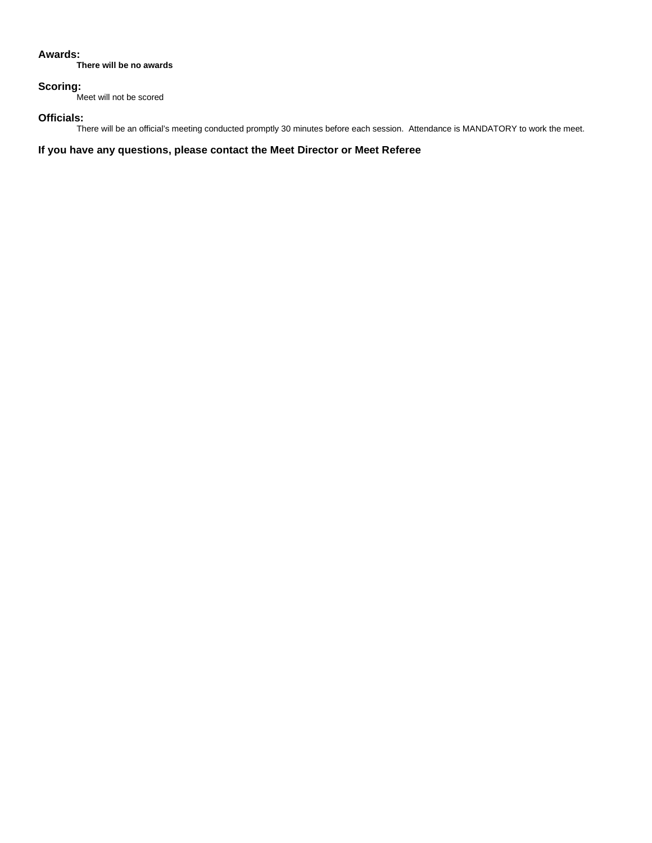#### **Awards:**

**There will be no awards**

## **Scoring:**

Meet will not be scored

### **Officials:**

There will be an official's meeting conducted promptly 30 minutes before each session. Attendance is MANDATORY to work the meet.

**If you have any questions, please contact the Meet Director or Meet Referee**